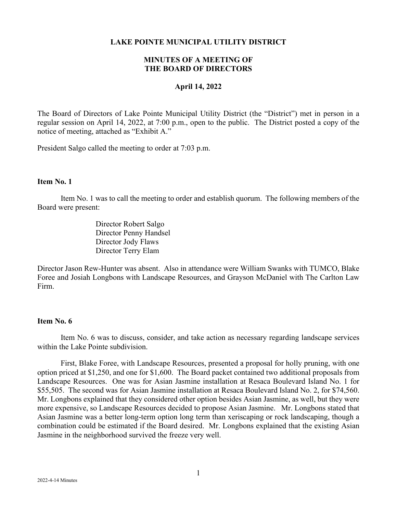### **LAKE POINTE MUNICIPAL UTILITY DISTRICT**

# **MINUTES OF A MEETING OF THE BOARD OF DIRECTORS**

### **April 14, 2022**

The Board of Directors of Lake Pointe Municipal Utility District (the "District") met in person in a regular session on April 14, 2022, at 7:00 p.m., open to the public. The District posted a copy of the notice of meeting, attached as "Exhibit A."

President Salgo called the meeting to order at 7:03 p.m.

# **Item No. 1**

Item No. 1 was to call the meeting to order and establish quorum. The following members of the Board were present:

> Director Robert Salgo Director Penny Handsel Director Jody Flaws Director Terry Elam

Director Jason Rew-Hunter was absent. Also in attendance were William Swanks with TUMCO, Blake Foree and Josiah Longbons with Landscape Resources, and Grayson McDaniel with The Carlton Law Firm.

### **Item No. 6**

Item No. 6 was to discuss, consider, and take action as necessary regarding landscape services within the Lake Pointe subdivision.

First, Blake Foree, with Landscape Resources, presented a proposal for holly pruning, with one option priced at \$1,250, and one for \$1,600. The Board packet contained two additional proposals from Landscape Resources. One was for Asian Jasmine installation at Resaca Boulevard Island No. 1 for \$55,505. The second was for Asian Jasmine installation at Resaca Boulevard Island No. 2, for \$74,560. Mr. Longbons explained that they considered other option besides Asian Jasmine, as well, but they were more expensive, so Landscape Resources decided to propose Asian Jasmine. Mr. Longbons stated that Asian Jasmine was a better long-term option long term than xeriscaping or rock landscaping, though a combination could be estimated if the Board desired. Mr. Longbons explained that the existing Asian Jasmine in the neighborhood survived the freeze very well.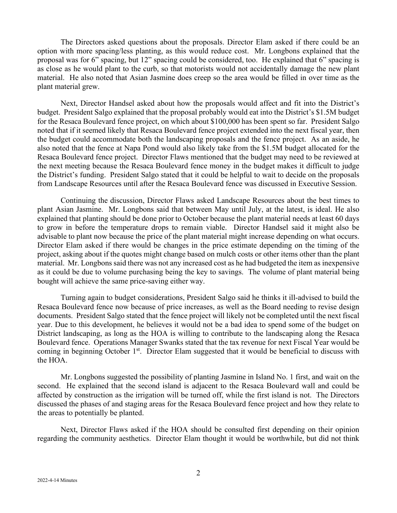The Directors asked questions about the proposals. Director Elam asked if there could be an option with more spacing/less planting, as this would reduce cost. Mr. Longbons explained that the proposal was for 6" spacing, but 12" spacing could be considered, too. He explained that 6" spacing is as close as he would plant to the curb, so that motorists would not accidentally damage the new plant material. He also noted that Asian Jasmine does creep so the area would be filled in over time as the plant material grew.

Next, Director Handsel asked about how the proposals would affect and fit into the District's budget. President Salgo explained that the proposal probably would eat into the District's \$1.5M budget for the Resaca Boulevard fence project, on which about \$100,000 has been spent so far. President Salgo noted that if it seemed likely that Resaca Boulevard fence project extended into the next fiscal year, then the budget could accommodate both the landscaping proposals and the fence project. As an aside, he also noted that the fence at Napa Pond would also likely take from the \$1.5M budget allocated for the Resaca Boulevard fence project. Director Flaws mentioned that the budget may need to be reviewed at the next meeting because the Resaca Boulevard fence money in the budget makes it difficult to judge the District's funding. President Salgo stated that it could be helpful to wait to decide on the proposals from Landscape Resources until after the Resaca Boulevard fence was discussed in Executive Session.

Continuing the discussion, Director Flaws asked Landscape Resources about the best times to plant Asian Jasmine. Mr. Longbons said that between May until July, at the latest, is ideal. He also explained that planting should be done prior to October because the plant material needs at least 60 days to grow in before the temperature drops to remain viable. Director Handsel said it might also be advisable to plant now because the price of the plant material might increase depending on what occurs. Director Elam asked if there would be changes in the price estimate depending on the timing of the project, asking about if the quotes might change based on mulch costs or other items other than the plant material. Mr. Longbons said there was not any increased cost as he had budgeted the item as inexpensive as it could be due to volume purchasing being the key to savings. The volume of plant material being bought will achieve the same price-saving either way.

Turning again to budget considerations, President Salgo said he thinks it ill-advised to build the Resaca Boulevard fence now because of price increases, as well as the Board needing to revise design documents. President Salgo stated that the fence project will likely not be completed until the next fiscal year. Due to this development, he believes it would not be a bad idea to spend some of the budget on District landscaping, as long as the HOA is willing to contribute to the landscaping along the Resaca Boulevard fence. Operations Manager Swanks stated that the tax revenue for next Fiscal Year would be coming in beginning October 1<sup>st</sup>. Director Elam suggested that it would be beneficial to discuss with the HOA.

Mr. Longbons suggested the possibility of planting Jasmine in Island No. 1 first, and wait on the second. He explained that the second island is adjacent to the Resaca Boulevard wall and could be affected by construction as the irrigation will be turned off, while the first island is not. The Directors discussed the phases of and staging areas for the Resaca Boulevard fence project and how they relate to the areas to potentially be planted.

Next, Director Flaws asked if the HOA should be consulted first depending on their opinion regarding the community aesthetics. Director Elam thought it would be worthwhile, but did not think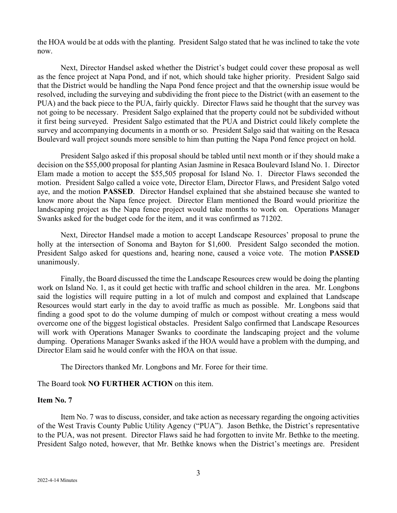the HOA would be at odds with the planting. President Salgo stated that he was inclined to take the vote now.

Next, Director Handsel asked whether the District's budget could cover these proposal as well as the fence project at Napa Pond, and if not, which should take higher priority. President Salgo said that the District would be handling the Napa Pond fence project and that the ownership issue would be resolved, including the surveying and subdividing the front piece to the District (with an easement to the PUA) and the back piece to the PUA, fairly quickly. Director Flaws said he thought that the survey was not going to be necessary. President Salgo explained that the property could not be subdivided without it first being surveyed. President Salgo estimated that the PUA and District could likely complete the survey and accompanying documents in a month or so. President Salgo said that waiting on the Resaca Boulevard wall project sounds more sensible to him than putting the Napa Pond fence project on hold.

President Salgo asked if this proposal should be tabled until next month or if they should make a decision on the \$55,000 proposal for planting Asian Jasmine in Resaca Boulevard Island No. 1. Director Elam made a motion to accept the \$55,505 proposal for Island No. 1. Director Flaws seconded the motion. President Salgo called a voice vote, Director Elam, Director Flaws, and President Salgo voted aye, and the motion **PASSED**. Director Handsel explained that she abstained because she wanted to know more about the Napa fence project. Director Elam mentioned the Board would prioritize the landscaping project as the Napa fence project would take months to work on. Operations Manager Swanks asked for the budget code for the item, and it was confirmed as 71202.

Next, Director Handsel made a motion to accept Landscape Resources' proposal to prune the holly at the intersection of Sonoma and Bayton for \$1,600. President Salgo seconded the motion. President Salgo asked for questions and, hearing none, caused a voice vote. The motion **PASSED** unanimously.

Finally, the Board discussed the time the Landscape Resources crew would be doing the planting work on Island No. 1, as it could get hectic with traffic and school children in the area. Mr. Longbons said the logistics will require putting in a lot of mulch and compost and explained that Landscape Resources would start early in the day to avoid traffic as much as possible. Mr. Longbons said that finding a good spot to do the volume dumping of mulch or compost without creating a mess would overcome one of the biggest logistical obstacles. President Salgo confirmed that Landscape Resources will work with Operations Manager Swanks to coordinate the landscaping project and the volume dumping. Operations Manager Swanks asked if the HOA would have a problem with the dumping, and Director Elam said he would confer with the HOA on that issue.

The Directors thanked Mr. Longbons and Mr. Foree for their time.

### The Board took **NO FURTHER ACTION** on this item.

#### **Item No. 7**

Item No. 7 was to discuss, consider, and take action as necessary regarding the ongoing activities of the West Travis County Public Utility Agency ("PUA"). Jason Bethke, the District's representative to the PUA, was not present. Director Flaws said he had forgotten to invite Mr. Bethke to the meeting. President Salgo noted, however, that Mr. Bethke knows when the District's meetings are. President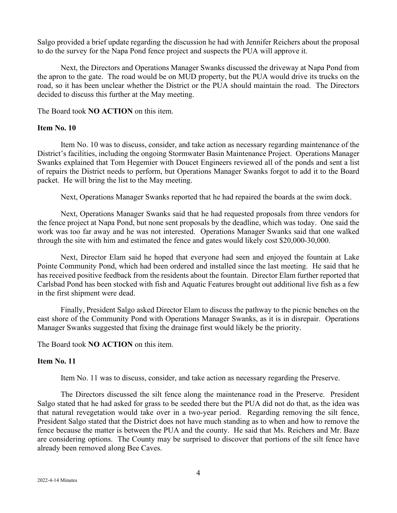Salgo provided a brief update regarding the discussion he had with Jennifer Reichers about the proposal to do the survey for the Napa Pond fence project and suspects the PUA will approve it.

Next, the Directors and Operations Manager Swanks discussed the driveway at Napa Pond from the apron to the gate. The road would be on MUD property, but the PUA would drive its trucks on the road, so it has been unclear whether the District or the PUA should maintain the road. The Directors decided to discuss this further at the May meeting.

The Board took **NO ACTION** on this item.

### **Item No. 10**

Item No. 10 was to discuss, consider, and take action as necessary regarding maintenance of the District's facilities, including the ongoing Stormwater Basin Maintenance Project. Operations Manager Swanks explained that Tom Hegemier with Doucet Engineers reviewed all of the ponds and sent a list of repairs the District needs to perform, but Operations Manager Swanks forgot to add it to the Board packet. He will bring the list to the May meeting.

Next, Operations Manager Swanks reported that he had repaired the boards at the swim dock.

Next, Operations Manager Swanks said that he had requested proposals from three vendors for the fence project at Napa Pond, but none sent proposals by the deadline, which was today. One said the work was too far away and he was not interested. Operations Manager Swanks said that one walked through the site with him and estimated the fence and gates would likely cost \$20,000-30,000.

Next, Director Elam said he hoped that everyone had seen and enjoyed the fountain at Lake Pointe Community Pond, which had been ordered and installed since the last meeting. He said that he has received positive feedback from the residents about the fountain. Director Elam further reported that Carlsbad Pond has been stocked with fish and Aquatic Features brought out additional live fish as a few in the first shipment were dead.

Finally, President Salgo asked Director Elam to discuss the pathway to the picnic benches on the east shore of the Community Pond with Operations Manager Swanks, as it is in disrepair. Operations Manager Swanks suggested that fixing the drainage first would likely be the priority.

The Board took **NO ACTION** on this item.

#### **Item No. 11**

Item No. 11 was to discuss, consider, and take action as necessary regarding the Preserve.

The Directors discussed the silt fence along the maintenance road in the Preserve. President Salgo stated that he had asked for grass to be seeded there but the PUA did not do that, as the idea was that natural revegetation would take over in a two-year period. Regarding removing the silt fence, President Salgo stated that the District does not have much standing as to when and how to remove the fence because the matter is between the PUA and the county. He said that Ms. Reichers and Mr. Baze are considering options. The County may be surprised to discover that portions of the silt fence have already been removed along Bee Caves.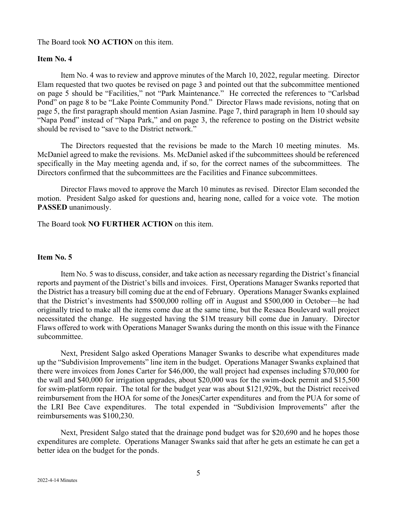### The Board took **NO ACTION** on this item.

### **Item No. 4**

Item No. 4 was to review and approve minutes of the March 10, 2022, regular meeting. Director Elam requested that two quotes be revised on page 3 and pointed out that the subcommittee mentioned on page 5 should be "Facilities," not "Park Maintenance." He corrected the references to "Carlsbad Pond" on page 8 to be "Lake Pointe Community Pond." Director Flaws made revisions, noting that on page 5, the first paragraph should mention Asian Jasmine. Page 7, third paragraph in Item 10 should say "Napa Pond" instead of "Napa Park," and on page 3, the reference to posting on the District website should be revised to "save to the District network."

The Directors requested that the revisions be made to the March 10 meeting minutes. Ms. McDaniel agreed to make the revisions. Ms. McDaniel asked if the subcommittees should be referenced specifically in the May meeting agenda and, if so, for the correct names of the subcommittees. The Directors confirmed that the subcommittees are the Facilities and Finance subcommittees.

Director Flaws moved to approve the March 10 minutes as revised. Director Elam seconded the motion. President Salgo asked for questions and, hearing none, called for a voice vote. The motion **PASSED** unanimously.

The Board took **NO FURTHER ACTION** on this item.

### **Item No. 5**

Item No. 5 was to discuss, consider, and take action as necessary regarding the District's financial reports and payment of the District's bills and invoices. First, Operations Manager Swanks reported that the District has a treasury bill coming due at the end of February. Operations Manager Swanks explained that the District's investments had \$500,000 rolling off in August and \$500,000 in October—he had originally tried to make all the items come due at the same time, but the Resaca Boulevard wall project necessitated the change. He suggested having the \$1M treasury bill come due in January. Director Flaws offered to work with Operations Manager Swanks during the month on this issue with the Finance subcommittee.

Next, President Salgo asked Operations Manager Swanks to describe what expenditures made up the "Subdivision Improvements" line item in the budget. Operations Manager Swanks explained that there were invoices from Jones Carter for \$46,000, the wall project had expenses including \$70,000 for the wall and \$40,000 for irrigation upgrades, about \$20,000 was for the swim-dock permit and \$15,500 for swim-platform repair. The total for the budget year was about \$121,929k, but the District received reimbursement from the HOA for some of the Jones|Carter expenditures and from the PUA for some of the LRI Bee Cave expenditures. The total expended in "Subdivision Improvements" after the reimbursements was \$100,230.

Next, President Salgo stated that the drainage pond budget was for \$20,690 and he hopes those expenditures are complete. Operations Manager Swanks said that after he gets an estimate he can get a better idea on the budget for the ponds.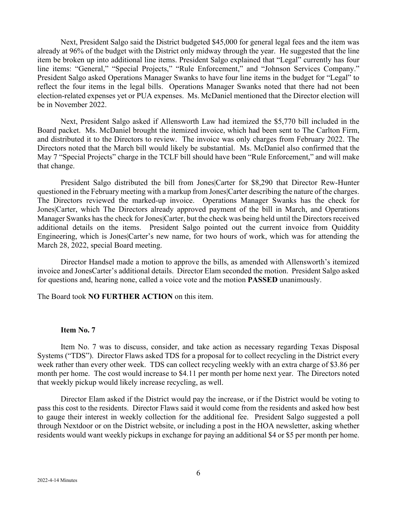Next, President Salgo said the District budgeted \$45,000 for general legal fees and the item was already at 96% of the budget with the District only midway through the year. He suggested that the line item be broken up into additional line items. President Salgo explained that "Legal" currently has four line items: "General," "Special Projects," "Rule Enforcement," and "Johnson Services Company." President Salgo asked Operations Manager Swanks to have four line items in the budget for "Legal" to reflect the four items in the legal bills. Operations Manager Swanks noted that there had not been election-related expenses yet or PUA expenses. Ms. McDaniel mentioned that the Director election will be in November 2022.

Next, President Salgo asked if Allensworth Law had itemized the \$5,770 bill included in the Board packet. Ms. McDaniel brought the itemized invoice, which had been sent to The Carlton Firm, and distributed it to the Directors to review. The invoice was only charges from February 2022. The Directors noted that the March bill would likely be substantial. Ms. McDaniel also confirmed that the May 7 "Special Projects" charge in the TCLF bill should have been "Rule Enforcement," and will make that change.

President Salgo distributed the bill from Jones|Carter for \$8,290 that Director Rew-Hunter questioned in the February meeting with a markup from Jones|Carter describing the nature of the charges. The Directors reviewed the marked-up invoice. Operations Manager Swanks has the check for Jones|Carter, which The Directors already approved payment of the bill in March, and Operations Manager Swanks has the check for Jones|Carter, but the check was being held until the Directors received additional details on the items. President Salgo pointed out the current invoice from Quiddity Engineering, which is Jones|Carter's new name, for two hours of work, which was for attending the March 28, 2022, special Board meeting.

Director Handsel made a motion to approve the bills, as amended with Allensworth's itemized invoice and JonesCarter's additional details. Director Elam seconded the motion. President Salgo asked for questions and, hearing none, called a voice vote and the motion **PASSED** unanimously.

The Board took **NO FURTHER ACTION** on this item.

#### **Item No. 7**

Item No. 7 was to discuss, consider, and take action as necessary regarding Texas Disposal Systems ("TDS"). Director Flaws asked TDS for a proposal for to collect recycling in the District every week rather than every other week. TDS can collect recycling weekly with an extra charge of \$3.86 per month per home. The cost would increase to \$4.11 per month per home next year. The Directors noted that weekly pickup would likely increase recycling, as well.

Director Elam asked if the District would pay the increase, or if the District would be voting to pass this cost to the residents. Director Flaws said it would come from the residents and asked how best to gauge their interest in weekly collection for the additional fee. President Salgo suggested a poll through Nextdoor or on the District website, or including a post in the HOA newsletter, asking whether residents would want weekly pickups in exchange for paying an additional \$4 or \$5 per month per home.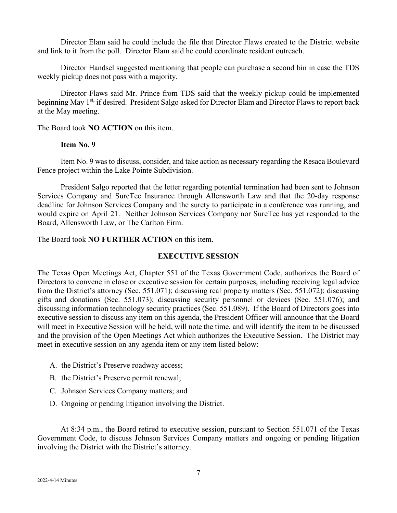Director Elam said he could include the file that Director Flaws created to the District website and link to it from the poll. Director Elam said he could coordinate resident outreach.

Director Handsel suggested mentioning that people can purchase a second bin in case the TDS weekly pickup does not pass with a majority.

Director Flaws said Mr. Prince from TDS said that the weekly pickup could be implemented beginning May 1st, if desired. President Salgo asked for Director Elam and Director Flaws to report back at the May meeting.

The Board took **NO ACTION** on this item.

# **Item No. 9**

Item No. 9 was to discuss, consider, and take action as necessary regarding the Resaca Boulevard Fence project within the Lake Pointe Subdivision.

President Salgo reported that the letter regarding potential termination had been sent to Johnson Services Company and SureTec Insurance through Allensworth Law and that the 20-day response deadline for Johnson Services Company and the surety to participate in a conference was running, and would expire on April 21. Neither Johnson Services Company nor SureTec has yet responded to the Board, Allensworth Law, or The Carlton Firm.

The Board took **NO FURTHER ACTION** on this item.

# **EXECUTIVE SESSION**

The Texas Open Meetings Act, Chapter 551 of the Texas Government Code, authorizes the Board of Directors to convene in close or executive session for certain purposes, including receiving legal advice from the District's attorney (Sec. 551.071); discussing real property matters (Sec. 551.072); discussing gifts and donations (Sec. 551.073); discussing security personnel or devices (Sec. 551.076); and discussing information technology security practices (Sec. 551.089). If the Board of Directors goes into executive session to discuss any item on this agenda, the President Officer will announce that the Board will meet in Executive Session will be held, will note the time, and will identify the item to be discussed and the provision of the Open Meetings Act which authorizes the Executive Session. The District may meet in executive session on any agenda item or any item listed below:

- A. the District's Preserve roadway access;
- B. the District's Preserve permit renewal;
- C. Johnson Services Company matters; and
- D. Ongoing or pending litigation involving the District.

At 8:34 p.m., the Board retired to executive session, pursuant to Section 551.071 of the Texas Government Code, to discuss Johnson Services Company matters and ongoing or pending litigation involving the District with the District's attorney.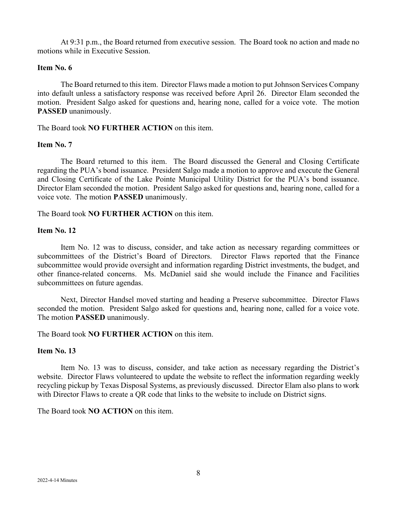At 9:31 p.m., the Board returned from executive session. The Board took no action and made no motions while in Executive Session.

#### **Item No. 6**

The Board returned to this item. Director Flaws made a motion to put Johnson Services Company into default unless a satisfactory response was received before April 26. Director Elam seconded the motion. President Salgo asked for questions and, hearing none, called for a voice vote. The motion **PASSED** unanimously.

The Board took **NO FURTHER ACTION** on this item.

### **Item No. 7**

The Board returned to this item. The Board discussed the General and Closing Certificate regarding the PUA's bond issuance. President Salgo made a motion to approve and execute the General and Closing Certificate of the Lake Pointe Municipal Utility District for the PUA's bond issuance. Director Elam seconded the motion. President Salgo asked for questions and, hearing none, called for a voice vote. The motion **PASSED** unanimously.

The Board took **NO FURTHER ACTION** on this item.

#### **Item No. 12**

Item No. 12 was to discuss, consider, and take action as necessary regarding committees or subcommittees of the District's Board of Directors. Director Flaws reported that the Finance subcommittee would provide oversight and information regarding District investments, the budget, and other finance-related concerns. Ms. McDaniel said she would include the Finance and Facilities subcommittees on future agendas.

Next, Director Handsel moved starting and heading a Preserve subcommittee. Director Flaws seconded the motion. President Salgo asked for questions and, hearing none, called for a voice vote. The motion **PASSED** unanimously.

The Board took **NO FURTHER ACTION** on this item.

### **Item No. 13**

Item No. 13 was to discuss, consider, and take action as necessary regarding the District's website. Director Flaws volunteered to update the website to reflect the information regarding weekly recycling pickup by Texas Disposal Systems, as previously discussed. Director Elam also plans to work with Director Flaws to create a QR code that links to the website to include on District signs.

The Board took **NO ACTION** on this item.